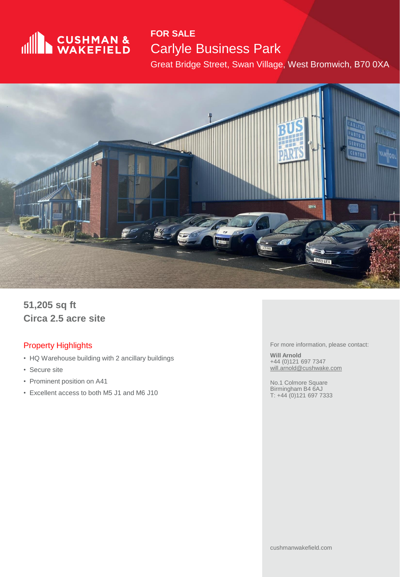

#### **FOR SALE** Carlyle Business Park

Great Bridge Street, Swan Village, West Bromwich, B70 0XA



**51,205 sq ft Circa 2.5 acre site**

#### Property Highlights

- HQ Warehouse building with 2 ancillary buildings
- Secure site
- Prominent position on A41
- Excellent access to both M5 J1 and M6 J10

For more information, please contact:

**Will Arnold** +44 (0)121 697 7347 [will.arnold@cushwake.com](mailto:will.arnold@cushwake.com)

No.1 Colmore Square Birmingham B4 6AJ T: +44 (0)121 697 7333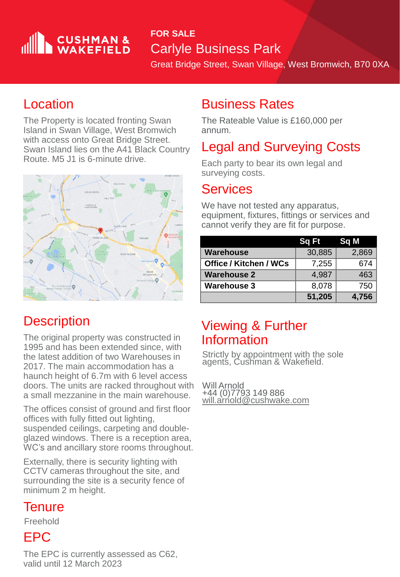# **CUSHMAN &**

#### **FOR SALE** Carlyle Business Park

Great Bridge Street, Swan Village, West Bromwich, B70 0XA

### Location

The Property is located fronting Swan Island in Swan Village, West Bromwich with access onto Great Bridge Street. Swan Island lies on the A41 Black Country Route. M5 J1 is 6-minute drive.



## **Description**

The original property was constructed in 1995 and has been extended since, with the latest addition of two Warehouses in 2017. The main accommodation has a haunch height of 6.7m with 6 level access doors. The units are racked throughout with a small mezzanine in the main warehouse.

The offices consist of ground and first floor offices with fully fitted out lighting, suspended ceilings, carpeting and doubleglazed windows. There is a reception area, WC's and ancillary store rooms throughout.

Externally, there is security lighting with CCTV cameras throughout the site, and surrounding the site is a security fence of minimum 2 m height.

#### **Tenure**

Freehold

#### EPC

The EPC is currently assessed as C62, valid until 12 March 2023

#### Business Rates

The Rateable Value is £160,000 per annum.

### Legal and Surveying Costs

Each party to bear its own legal and surveying costs.

#### Services

We have not tested any apparatus, equipment, fixtures, fittings or services and cannot verify they are fit for purpose.

|                               | Sq Ft  | 'Sq M |
|-------------------------------|--------|-------|
| <b>Warehouse</b>              | 30,885 | 2,869 |
| <b>Office / Kitchen / WCs</b> | 7,255  | 674   |
| <b>Warehouse 2</b>            | 4,987  | 463   |
| <b>Warehouse 3</b>            | 8,078  | 750   |
|                               | 51,205 | 4,756 |

### Viewing & Further Information

Strictly by appointment with the sole agents, Cushman & Wakefield.

Will Arnold +44 (0)7793 149 886 <u>[will.arnold@cushwake.com](mailto:will.arnold@cushwake.com)</u>